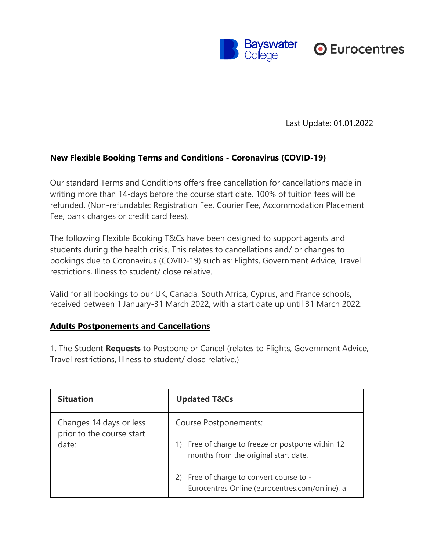

Last Update: 01.01.2022

## **New Flexible Booking Terms and Conditions - Coronavirus (COVID-19)**

Our standard Terms and Conditions offers free cancellation for cancellations made in writing more than 14-days before the course start date. 100% of tuition fees will be refunded. (Non-refundable: Registration Fee, Courier Fee, Accommodation Placement Fee, bank charges or credit card fees).

The following Flexible Booking T&Cs have been designed to support agents and students during the health crisis. This relates to cancellations and/ or changes to bookings due to Coronavirus (COVID-19) such as: Flights, Government Advice, Travel restrictions, Illness to student/ close relative.

Valid for all bookings to our UK, Canada, South Africa, Cyprus, and France schools, received between 1 January-31 March 2022, with a start date up until 31 March 2022.

## **Adults Postponements and Cancellations**

1. The Student **Requests** to Postpone or Cancel (relates to Flights, Government Advice, Travel restrictions, Illness to student/ close relative.)

| <b>Situation</b>                                              | <b>Updated T&amp;Cs</b>                                                                                                               |
|---------------------------------------------------------------|---------------------------------------------------------------------------------------------------------------------------------------|
| Changes 14 days or less<br>prior to the course start<br>date: | <b>Course Postponements:</b><br>Free of charge to freeze or postpone within 12<br>1)                                                  |
|                                                               | months from the original start date.<br>Free of charge to convert course to -<br>2)<br>Eurocentres Online (eurocentres.com/online), a |